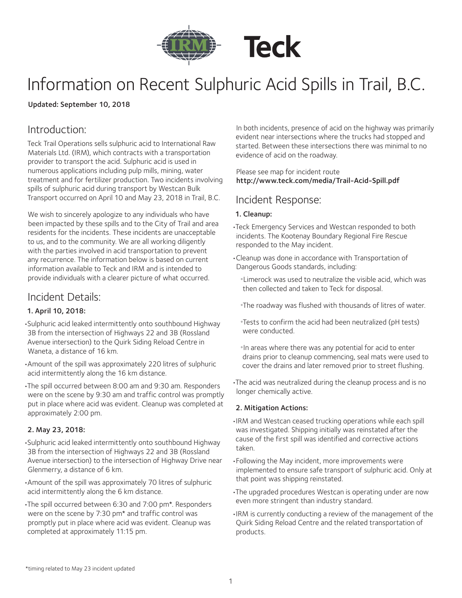

# Information on Recent Sulphuric Acid Spills in Trail, B.C.

#### Updated: September 10, 2018

## Introduction:

Teck Trail Operations sells sulphuric acid to International Raw Materials Ltd. (IRM), which contracts with a transportation provider to transport the acid. Sulphuric acid is used in numerous applications including pulp mills, mining, water treatment and for fertilizer production. Two incidents involving spills of sulphuric acid during transport by Westcan Bulk Transport occurred on April 10 and May 23, 2018 in Trail, B.C.

We wish to sincerely apologize to any individuals who have been impacted by these spills and to the City of Trail and area residents for the incidents. These incidents are unacceptable to us, and to the community. We are all working diligently with the parties involved in acid transportation to prevent any recurrence. The information below is based on current information available to Teck and IRM and is intended to provide individuals with a clearer picture of what occurred.

## Incident Details:

## 1. April 10, 2018:

•Sulphuric acid leaked intermittently onto southbound Highway 3B from the intersection of Highways 22 and 3B (Rossland Avenue intersection) to the Quirk Siding Reload Centre in Waneta, a distance of 16 km.

- •Amount of the spill was approximately 220 litres of sulphuric acid intermittently along the 16 km distance.
- •The spill occurred between 8:00 am and 9:30 am. Responders were on the scene by 9:30 am and traffic control was promptly put in place where acid was evident. Cleanup was completed at approximately 2:00 pm.

## 2. May 23, 2018:

•Sulphuric acid leaked intermittently onto southbound Highway 3B from the intersection of Highways 22 and 3B (Rossland Avenue intersection) to the intersection of Highway Drive near Glenmerry, a distance of 6 km.

- •Amount of the spill was approximately 70 litres of sulphuric acid intermittently along the 6 km distance.
- •The spill occurred between 6:30 and 7:00 pm\*. Responders were on the scene by 7:30 pm\* and traffic control was promptly put in place where acid was evident. Cleanup was completed at approximately 11:15 pm.

In both incidents, presence of acid on the highway was primarily evident near intersections where the trucks had stopped and started. Between these intersections there was minimal to no evidence of acid on the roadway.

#### Please see map for incident route http://www.teck.com/media/Trail-Acid-Spill.pdf

## Incident Response:

#### 1. Cleanup:

- •Teck Emergency Services and Westcan responded to both incidents. The Kootenay Boundary Regional Fire Rescue responded to the May incident.
- •Cleanup was done in accordance with Transportation of Dangerous Goods standards, including:
	- °Limerock was used to neutralize the visible acid, which was then collected and taken to Teck for disposal.
	- °The roadway was flushed with thousands of litres of water.
	- °Tests to confirm the acid had been neutralized (pH tests) were conducted.
	- °In areas where there was any potential for acid to enter drains prior to cleanup commencing, seal mats were used to cover the drains and later removed prior to street flushing.
- •The acid was neutralized during the cleanup process and is no longer chemically active.

#### 2. Mitigation Actions:

- •IRM and Westcan ceased trucking operations while each spill was investigated. Shipping initially was reinstated after the cause of the first spill was identified and corrective actions taken.
- •Following the May incident, more improvements were implemented to ensure safe transport of sulphuric acid. Only at that point was shipping reinstated.
- •The upgraded procedures Westcan is operating under are now even more stringent than industry standard.
- •IRM is currently conducting a review of the management of the Quirk Siding Reload Centre and the related transportation of products.